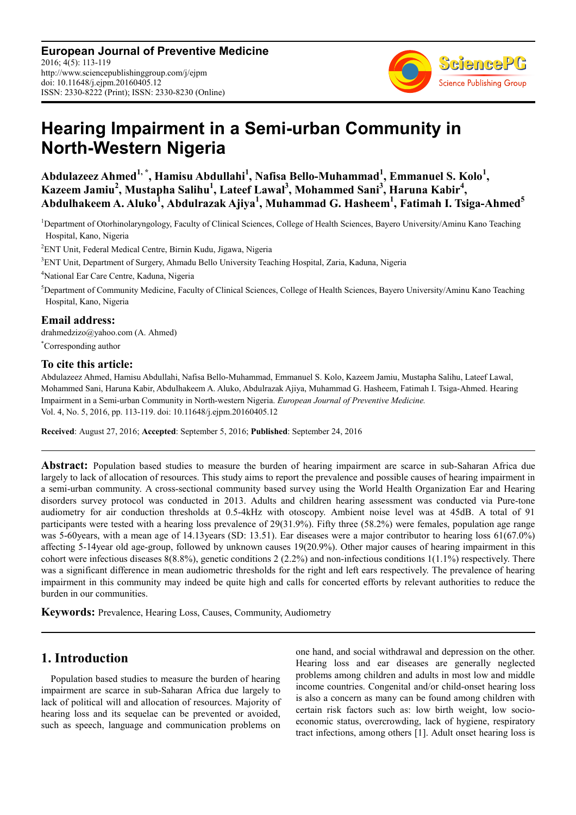**European Journal of Preventive Medicine** 2016; 4(5): 113-119 http://www.sciencepublishinggroup.com/j/ejpm doi: 10.11648/j.ejpm.20160405.12 ISSN: 2330-8222 (Print); ISSN: 2330-8230 (Online)



# **Hearing Impairment in a Semi-urban Community in North-Western Nigeria**

**Abdulazeez Ahmed1, \*, Hamisu Abdullahi<sup>1</sup> , Nafisa Bello-Muhammad<sup>1</sup> , Emmanuel S. Kolo<sup>1</sup> , Kazeem Jamiu<sup>2</sup> , Mustapha Salihu<sup>1</sup> , Lateef Lawal<sup>3</sup> , Mohammed Sani<sup>3</sup> , Haruna Kabir<sup>4</sup> , Abdulhakeem A. Aluko<sup>1</sup> , Abdulrazak Ajiya<sup>1</sup> , Muhammad G. Hasheem<sup>1</sup> , Fatimah I. Tsiga-Ahmed<sup>5</sup>**

<sup>1</sup>Department of Otorhinolaryngology, Faculty of Clinical Sciences, College of Health Sciences, Bayero University/Aminu Kano Teaching Hospital, Kano, Nigeria

<sup>2</sup>ENT Unit, Federal Medical Centre, Birnin Kudu, Jigawa, Nigeria

<sup>3</sup>ENT Unit, Department of Surgery, Ahmadu Bello University Teaching Hospital, Zaria, Kaduna, Nigeria

<sup>4</sup>National Ear Care Centre, Kaduna, Nigeria

<sup>5</sup>Department of Community Medicine, Faculty of Clinical Sciences, College of Health Sciences, Bayero University/Aminu Kano Teaching Hospital, Kano, Nigeria

### **Email address:**

drahmedzizo@yahoo.com (A. Ahmed)

\*Corresponding author

### **To cite this article:**

Abdulazeez Ahmed, Hamisu Abdullahi, Nafisa Bello-Muhammad, Emmanuel S. Kolo, Kazeem Jamiu, Mustapha Salihu, Lateef Lawal, Mohammed Sani, Haruna Kabir, Abdulhakeem A. Aluko, Abdulrazak Ajiya, Muhammad G. Hasheem, Fatimah I. Tsiga-Ahmed. Hearing Impairment in a Semi-urban Community in North-western Nigeria. *European Journal of Preventive Medicine.* Vol. 4, No. 5, 2016, pp. 113-119. doi: 10.11648/j.ejpm.20160405.12

**Received**: August 27, 2016; **Accepted**: September 5, 2016; **Published**: September 24, 2016

**Abstract:** Population based studies to measure the burden of hearing impairment are scarce in sub-Saharan Africa due largely to lack of allocation of resources. This study aims to report the prevalence and possible causes of hearing impairment in a semi-urban community. A cross-sectional community based survey using the World Health Organization Ear and Hearing disorders survey protocol was conducted in 2013. Adults and children hearing assessment was conducted via Pure-tone audiometry for air conduction thresholds at 0.5-4kHz with otoscopy. Ambient noise level was at 45dB. A total of 91 participants were tested with a hearing loss prevalence of 29(31.9%). Fifty three (58.2%) were females, population age range was 5-60years, with a mean age of 14.13years (SD: 13.51). Ear diseases were a major contributor to hearing loss 61(67.0%) affecting 5-14year old age-group, followed by unknown causes 19(20.9%). Other major causes of hearing impairment in this cohort were infectious diseases  $8(8.8\%)$ , genetic conditions  $2(2.2\%)$  and non-infectious conditions  $1(1.1\%)$  respectively. There was a significant difference in mean audiometric thresholds for the right and left ears respectively. The prevalence of hearing impairment in this community may indeed be quite high and calls for concerted efforts by relevant authorities to reduce the burden in our communities.

**Keywords:** Prevalence, Hearing Loss, Causes, Community, Audiometry

# **1. Introduction**

Population based studies to measure the burden of hearing impairment are scarce in sub-Saharan Africa due largely to lack of political will and allocation of resources. Majority of hearing loss and its sequelae can be prevented or avoided, such as speech, language and communication problems on one hand, and social withdrawal and depression on the other. Hearing loss and ear diseases are generally neglected problems among children and adults in most low and middle income countries. Congenital and/or child-onset hearing loss is also a concern as many can be found among children with certain risk factors such as: low birth weight, low socioeconomic status, overcrowding, lack of hygiene, respiratory tract infections, among others [1]. Adult onset hearing loss is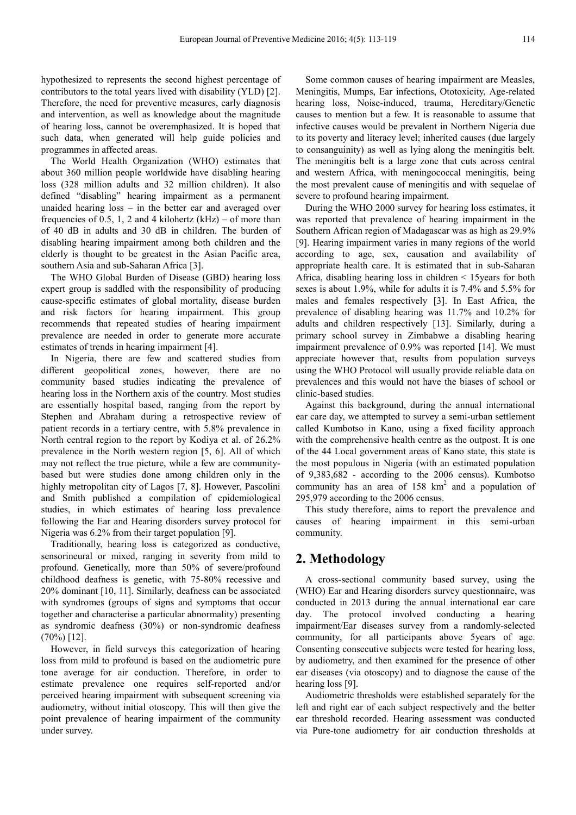hypothesized to represents the second highest percentage of contributors to the total years lived with disability (YLD) [2]. Therefore, the need for preventive measures, early diagnosis and intervention, as well as knowledge about the magnitude of hearing loss, cannot be overemphasized. It is hoped that such data, when generated will help guide policies and programmes in affected areas.

The World Health Organization (WHO) estimates that about 360 million people worldwide have disabling hearing loss (328 million adults and 32 million children). It also defined "disabling" hearing impairment as a permanent unaided hearing loss – in the better ear and averaged over frequencies of 0.5, 1, 2 and 4 kilohertz  $(kHz)$  – of more than of 40 dB in adults and 30 dB in children. The burden of disabling hearing impairment among both children and the elderly is thought to be greatest in the Asian Pacific area, southern Asia and sub-Saharan Africa [3].

The WHO Global Burden of Disease (GBD) hearing loss expert group is saddled with the responsibility of producing cause-specific estimates of global mortality, disease burden and risk factors for hearing impairment. This group recommends that repeated studies of hearing impairment prevalence are needed in order to generate more accurate estimates of trends in hearing impairment [4].

In Nigeria, there are few and scattered studies from different geopolitical zones, however, there are no community based studies indicating the prevalence of hearing loss in the Northern axis of the country. Most studies are essentially hospital based, ranging from the report by Stephen and Abraham during a retrospective review of patient records in a tertiary centre, with 5.8% prevalence in North central region to the report by Kodiya et al. of 26.2% prevalence in the North western region [5, 6]. All of which may not reflect the true picture, while a few are communitybased but were studies done among children only in the highly metropolitan city of Lagos [7, 8]. However, Pascolini and Smith published a compilation of epidemiological studies, in which estimates of hearing loss prevalence following the Ear and Hearing disorders survey protocol for Nigeria was 6.2% from their target population [9].

Traditionally, hearing loss is categorized as conductive, sensorineural or mixed, ranging in severity from mild to profound. Genetically, more than 50% of severe/profound childhood deafness is genetic, with 75-80% recessive and 20% dominant [10, 11]. Similarly, deafness can be associated with syndromes (groups of signs and symptoms that occur together and characterise a particular abnormality) presenting as syndromic deafness (30%) or non-syndromic deafness  $(70\%)$  [12].

However, in field surveys this categorization of hearing loss from mild to profound is based on the audiometric pure tone average for air conduction. Therefore, in order to estimate prevalence one requires self-reported and/or perceived hearing impairment with subsequent screening via audiometry, without initial otoscopy. This will then give the point prevalence of hearing impairment of the community under survey.

Some common causes of hearing impairment are Measles, Meningitis, Mumps, Ear infections, Ototoxicity, Age-related hearing loss, Noise-induced, trauma, Hereditary/Genetic causes to mention but a few. It is reasonable to assume that infective causes would be prevalent in Northern Nigeria due to its poverty and literacy level; inherited causes (due largely to consanguinity) as well as lying along the meningitis belt. The meningitis belt is a large zone that cuts across central and western Africa, with meningococcal meningitis, being the most prevalent cause of meningitis and with sequelae of severe to profound hearing impairment.

During the WHO 2000 survey for hearing loss estimates, it was reported that prevalence of hearing impairment in the Southern African region of Madagascar was as high as 29.9% [9]. Hearing impairment varies in many regions of the world according to age, sex, causation and availability of appropriate health care. It is estimated that in sub-Saharan Africa, disabling hearing loss in children < 15years for both sexes is about 1.9%, while for adults it is 7.4% and 5.5% for males and females respectively [3]. In East Africa, the prevalence of disabling hearing was 11.7% and 10.2% for adults and children respectively [13]. Similarly, during a primary school survey in Zimbabwe a disabling hearing impairment prevalence of 0.9% was reported [14]. We must appreciate however that, results from population surveys using the WHO Protocol will usually provide reliable data on prevalences and this would not have the biases of school or clinic-based studies.

Against this background, during the annual international ear care day, we attempted to survey a semi-urban settlement called Kumbotso in Kano, using a fixed facility approach with the comprehensive health centre as the outpost. It is one of the 44 Local government areas of Kano state, this state is the most populous in Nigeria (with an estimated population of 9,383,682 - according to the 2006 census). Kumbotso community has an area of  $158 \text{ km}^2$  and a population of 295,979 according to the 2006 census.

This study therefore, aims to report the prevalence and causes of hearing impairment in this semi-urban community.

# **2. Methodology**

A cross-sectional community based survey, using the (WHO) Ear and Hearing disorders survey questionnaire, was conducted in 2013 during the annual international ear care day. The protocol involved conducting a hearing impairment/Ear diseases survey from a randomly-selected community, for all participants above 5years of age. Consenting consecutive subjects were tested for hearing loss, by audiometry, and then examined for the presence of other ear diseases (via otoscopy) and to diagnose the cause of the hearing loss [9].

Audiometric thresholds were established separately for the left and right ear of each subject respectively and the better ear threshold recorded. Hearing assessment was conducted via Pure-tone audiometry for air conduction thresholds at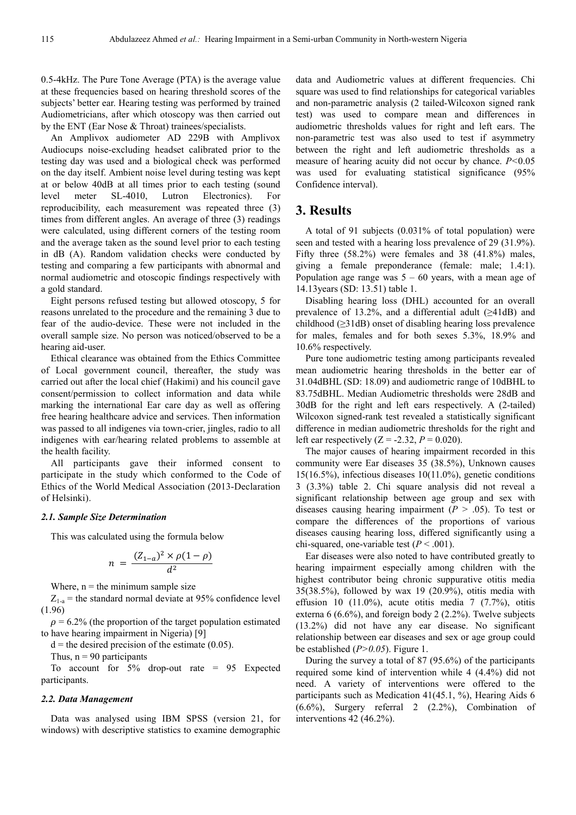0.5-4kHz. The Pure Tone Average (PTA) is the average value at these frequencies based on hearing threshold scores of the subjects' better ear. Hearing testing was performed by trained Audiometricians, after which otoscopy was then carried out by the ENT (Ear Nose & Throat) trainees/specialists.

An Amplivox audiometer AD 229B with Amplivox Audiocups noise-excluding headset calibrated prior to the testing day was used and a biological check was performed on the day itself. Ambient noise level during testing was kept at or below 40dB at all times prior to each testing (sound level meter SL-4010, Lutron Electronics). For reproducibility, each measurement was repeated three (3) times from different angles. An average of three (3) readings were calculated, using different corners of the testing room and the average taken as the sound level prior to each testing in dB (A). Random validation checks were conducted by testing and comparing a few participants with abnormal and normal audiometric and otoscopic findings respectively with a gold standard.

Eight persons refused testing but allowed otoscopy, 5 for reasons unrelated to the procedure and the remaining 3 due to fear of the audio-device. These were not included in the overall sample size. No person was noticed/observed to be a hearing aid-user.

Ethical clearance was obtained from the Ethics Committee of Local government council, thereafter, the study was carried out after the local chief (Hakimi) and his council gave consent/permission to collect information and data while marking the international Ear care day as well as offering free hearing healthcare advice and services. Then information was passed to all indigenes via town-crier, jingles, radio to all indigenes with ear/hearing related problems to assemble at the health facility.

All participants gave their informed consent to participate in the study which conformed to the Code of Ethics of the World Medical Association (2013-Declaration of Helsinki).

#### *2.1. Sample Size Determination*

This was calculated using the formula below

$$
n = \frac{(Z_{1-a})^2 \times \rho(1-\rho)}{d^2}
$$

Where,  $n =$  the minimum sample size

 $Z_{1-a}$  = the standard normal deviate at 95% confidence level (1.96)

 $\rho = 6.2\%$  (the proportion of the target population estimated to have hearing impairment in Nigeria) [9]

 $d =$  the desired precision of the estimate (0.05).

Thus,  $n = 90$  participants

To account for 5% drop-out rate = 95 Expected participants.

#### *2.2. Data Management*

Data was analysed using IBM SPSS (version 21, for windows) with descriptive statistics to examine demographic data and Audiometric values at different frequencies. Chi square was used to find relationships for categorical variables and non-parametric analysis (2 tailed-Wilcoxon signed rank test) was used to compare mean and differences in audiometric thresholds values for right and left ears. The non-parametric test was also used to test if asymmetry between the right and left audiometric thresholds as a measure of hearing acuity did not occur by chance. *P<*0.05 was used for evaluating statistical significance (95% Confidence interval).

# **3. Results**

A total of 91 subjects (0.031% of total population) were seen and tested with a hearing loss prevalence of 29 (31.9%). Fifty three (58.2%) were females and 38 (41.8%) males, giving a female preponderance (female: male; 1.4:1). Population age range was  $5 - 60$  years, with a mean age of 14.13years (SD: 13.51) table 1.

Disabling hearing loss (DHL) accounted for an overall prevalence of 13.2%, and a differential adult (≥41dB) and childhood (≥31dB) onset of disabling hearing loss prevalence for males, females and for both sexes 5.3%, 18.9% and 10.6% respectively.

Pure tone audiometric testing among participants revealed mean audiometric hearing thresholds in the better ear of 31.04dBHL (SD: 18.09) and audiometric range of 10dBHL to 83.75dBHL. Median Audiometric thresholds were 28dB and 30dB for the right and left ears respectively. A (2-tailed) Wilcoxon signed-rank test revealed a statistically significant difference in median audiometric thresholds for the right and left ear respectively  $(Z = -2.32, P = 0.020)$ .

The major causes of hearing impairment recorded in this community were Ear diseases 35 (38.5%), Unknown causes 15(16.5%), infectious diseases 10(11.0%), genetic conditions 3 (3.3%) table 2. Chi square analysis did not reveal a significant relationship between age group and sex with diseases causing hearing impairment ( $P > .05$ ). To test or compare the differences of the proportions of various diseases causing hearing loss, differed significantly using a chi-squared, one-variable test  $(P < .001)$ .

Ear diseases were also noted to have contributed greatly to hearing impairment especially among children with the highest contributor being chronic suppurative otitis media 35(38.5%), followed by wax 19 (20.9%), otitis media with effusion 10 (11.0%), acute otitis media 7 (7.7%), otitis externa 6 (6.6%), and foreign body 2 (2.2%). Twelve subjects (13.2%) did not have any ear disease. No significant relationship between ear diseases and sex or age group could be established (*P>0.05*). Figure 1.

During the survey a total of 87 (95.6%) of the participants required some kind of intervention while 4 (4.4%) did not need. A variety of interventions were offered to the participants such as Medication 41(45.1, %), Hearing Aids 6 (6.6%), Surgery referral 2 (2.2%), Combination of interventions 42 (46.2%).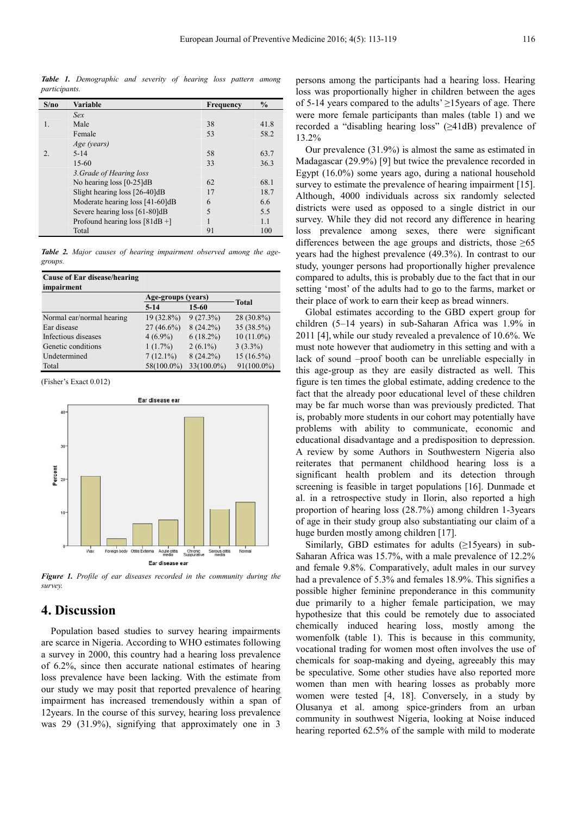*Table 1. Demographic and severity of hearing loss pattern among participants.* 

| S/no             | <b>Variable</b>                  | <b>Frequency</b> | $\frac{6}{9}$ |
|------------------|----------------------------------|------------------|---------------|
|                  | Sex                              |                  |               |
| $\mathbf{1}$ .   | Male                             | 38               | 41.8          |
|                  | Female                           | 53               | 58.2          |
|                  | Age (years)                      |                  |               |
| $\overline{2}$ . | $5 - 14$                         | 58               | 63.7          |
|                  | $15-60$                          | 33               | 36.3          |
|                  | 3. Grade of Hearing loss         |                  |               |
|                  | No hearing loss $[0-25]dB$       | 62               | 68.1          |
|                  | Slight hearing loss [26-40]dB    | 17               | 18.7          |
|                  | Moderate hearing loss [41-60]dB  | 6                | 6.6           |
|                  | Severe hearing loss [61-80]dB    | 5                | 5.5           |
|                  | Profound hearing loss $[81dB +]$ |                  | 1.1           |
|                  | Total                            | 91               | 100           |

*Table 2. Major causes of hearing impairment observed among the agegroups.* 

| Cause of Ear disease/hearing |                    |             |               |
|------------------------------|--------------------|-------------|---------------|
| impairment                   |                    |             |               |
|                              | Age-groups (years) |             | <b>Total</b>  |
|                              | $5 - 14$           | 15-60       |               |
| Normal ear/normal hearing    | $19(32.8\%)$       | 9(27.3%)    | $28(30.8\%)$  |
| Ear disease                  | $27(46.6\%)$       | $8(24.2\%)$ | 35 (38.5%)    |
| Infectious diseases          | $4(6.9\%)$         | $6(18.2\%)$ | $10(11.0\%)$  |
| Genetic conditions           | $1(1.7\%)$         | $2(6.1\%)$  | $3(3.3\%)$    |
| Undetermined                 | $7(12.1\%)$        | $8(24.2\%)$ | $15(16.5\%)$  |
| Total                        | 58(100.0%)         | 33(100.0%)  | $91(100.0\%)$ |

(Fisher's Exact 0.012)



*Figure 1. Profile of ear diseases recorded in the community during the survey.* 

# **4. Discussion**

Population based studies to survey hearing impairments are scarce in Nigeria. According to WHO estimates following a survey in 2000, this country had a hearing loss prevalence of 6.2%, since then accurate national estimates of hearing loss prevalence have been lacking. With the estimate from our study we may posit that reported prevalence of hearing impairment has increased tremendously within a span of 12years. In the course of this survey, hearing loss prevalence was 29 (31.9%), signifying that approximately one in 3

persons among the participants had a hearing loss. Hearing loss was proportionally higher in children between the ages of 5-14 years compared to the adults' ≥15years of age. There were more female participants than males (table 1) and we recorded a "disabling hearing loss" (≥41dB) prevalence of 13.2%

Our prevalence (31.9%) is almost the same as estimated in Madagascar (29.9%) [9] but twice the prevalence recorded in Egypt (16.0%) some years ago, during a national household survey to estimate the prevalence of hearing impairment [15]. Although, 4000 individuals across six randomly selected districts were used as opposed to a single district in our survey. While they did not record any difference in hearing loss prevalence among sexes, there were significant differences between the age groups and districts, those  $\geq 65$ years had the highest prevalence (49.3%). In contrast to our study, younger persons had proportionally higher prevalence compared to adults, this is probably due to the fact that in our setting 'most' of the adults had to go to the farms, market or their place of work to earn their keep as bread winners.

Global estimates according to the GBD expert group for children (5–14 years) in sub-Saharan Africa was 1.9% in 2011 [4], while our study revealed a prevalence of 10.6%. We must note however that audiometry in this setting and with a lack of sound –proof booth can be unreliable especially in this age-group as they are easily distracted as well. This figure is ten times the global estimate, adding credence to the fact that the already poor educational level of these children may be far much worse than was previously predicted. That is, probably more students in our cohort may potentially have problems with ability to communicate, economic and educational disadvantage and a predisposition to depression. A review by some Authors in Southwestern Nigeria also reiterates that permanent childhood hearing loss is a significant health problem and its detection through screening is feasible in target populations [16]. Dunmade et al. in a retrospective study in Ilorin, also reported a high proportion of hearing loss (28.7%) among children 1-3years of age in their study group also substantiating our claim of a huge burden mostly among children [17].

Similarly, GBD estimates for adults  $(\geq 15$ years) in sub-Saharan Africa was 15.7%, with a male prevalence of 12.2% and female 9.8%. Comparatively, adult males in our survey had a prevalence of 5.3% and females 18.9%. This signifies a possible higher feminine preponderance in this community due primarily to a higher female participation, we may hypothesize that this could be remotely due to associated chemically induced hearing loss, mostly among the womenfolk (table 1). This is because in this community, vocational trading for women most often involves the use of chemicals for soap-making and dyeing, agreeably this may be speculative. Some other studies have also reported more women than men with hearing losses as probably more women were tested [4, 18]. Conversely, in a study by Olusanya et al. among spice-grinders from an urban community in southwest Nigeria, looking at Noise induced hearing reported 62.5% of the sample with mild to moderate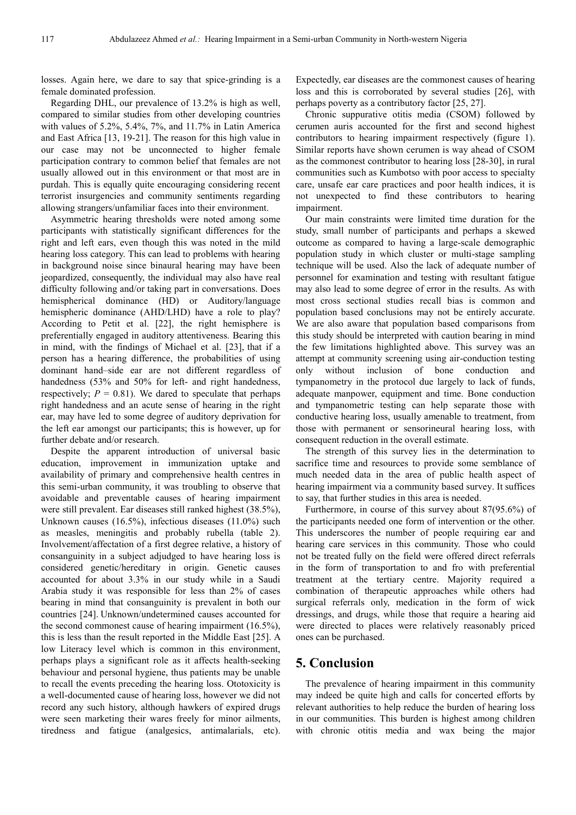losses. Again here, we dare to say that spice-grinding is a female dominated profession.

Regarding DHL, our prevalence of 13.2% is high as well, compared to similar studies from other developing countries with values of 5.2%, 5.4%, 7%, and 11.7% in Latin America and East Africa [13, 19-21]. The reason for this high value in our case may not be unconnected to higher female participation contrary to common belief that females are not usually allowed out in this environment or that most are in purdah. This is equally quite encouraging considering recent terrorist insurgencies and community sentiments regarding allowing strangers/unfamiliar faces into their environment.

Asymmetric hearing thresholds were noted among some participants with statistically significant differences for the right and left ears, even though this was noted in the mild hearing loss category. This can lead to problems with hearing in background noise since binaural hearing may have been jeopardized, consequently, the individual may also have real difficulty following and/or taking part in conversations. Does hemispherical dominance (HD) or Auditory/language hemispheric dominance (AHD/LHD) have a role to play? According to Petit et al. [22], the right hemisphere is preferentially engaged in auditory attentiveness. Bearing this in mind, with the findings of Michael et al. [23], that if a person has a hearing difference, the probabilities of using dominant hand–side ear are not different regardless of handedness (53% and 50% for left- and right handedness, respectively;  $P = 0.81$ ). We dared to speculate that perhaps right handedness and an acute sense of hearing in the right ear, may have led to some degree of auditory deprivation for the left ear amongst our participants; this is however, up for further debate and/or research.

Despite the apparent introduction of universal basic education, improvement in immunization uptake and availability of primary and comprehensive health centres in this semi-urban community, it was troubling to observe that avoidable and preventable causes of hearing impairment were still prevalent. Ear diseases still ranked highest (38.5%), Unknown causes (16.5%), infectious diseases (11.0%) such as measles, meningitis and probably rubella (table 2). Involvement/affectation of a first degree relative, a history of consanguinity in a subject adjudged to have hearing loss is considered genetic/hereditary in origin. Genetic causes accounted for about 3.3% in our study while in a Saudi Arabia study it was responsible for less than 2% of cases bearing in mind that consanguinity is prevalent in both our countries [24]. Unknown/undetermined causes accounted for the second commonest cause of hearing impairment (16.5%), this is less than the result reported in the Middle East [25]. A low Literacy level which is common in this environment, perhaps plays a significant role as it affects health-seeking behaviour and personal hygiene, thus patients may be unable to recall the events preceding the hearing loss. Ototoxicity is a well-documented cause of hearing loss, however we did not record any such history, although hawkers of expired drugs were seen marketing their wares freely for minor ailments, tiredness and fatigue (analgesics, antimalarials, etc).

Expectedly, ear diseases are the commonest causes of hearing loss and this is corroborated by several studies [26], with perhaps poverty as a contributory factor [25, 27].

Chronic suppurative otitis media (CSOM) followed by cerumen auris accounted for the first and second highest contributors to hearing impairment respectively (figure 1). Similar reports have shown cerumen is way ahead of CSOM as the commonest contributor to hearing loss [28-30], in rural communities such as Kumbotso with poor access to specialty care, unsafe ear care practices and poor health indices, it is not unexpected to find these contributors to hearing impairment.

Our main constraints were limited time duration for the study, small number of participants and perhaps a skewed outcome as compared to having a large-scale demographic population study in which cluster or multi-stage sampling technique will be used. Also the lack of adequate number of personnel for examination and testing with resultant fatigue may also lead to some degree of error in the results. As with most cross sectional studies recall bias is common and population based conclusions may not be entirely accurate. We are also aware that population based comparisons from this study should be interpreted with caution bearing in mind the few limitations highlighted above. This survey was an attempt at community screening using air-conduction testing only without inclusion of bone conduction and tympanometry in the protocol due largely to lack of funds, adequate manpower, equipment and time. Bone conduction and tympanometric testing can help separate those with conductive hearing loss, usually amenable to treatment, from those with permanent or sensorineural hearing loss, with consequent reduction in the overall estimate.

The strength of this survey lies in the determination to sacrifice time and resources to provide some semblance of much needed data in the area of public health aspect of hearing impairment via a community based survey. It suffices to say, that further studies in this area is needed.

Furthermore, in course of this survey about 87(95.6%) of the participants needed one form of intervention or the other. This underscores the number of people requiring ear and hearing care services in this community. Those who could not be treated fully on the field were offered direct referrals in the form of transportation to and fro with preferential treatment at the tertiary centre. Majority required a combination of therapeutic approaches while others had surgical referrals only, medication in the form of wick dressings, and drugs, while those that require a hearing aid were directed to places were relatively reasonably priced ones can be purchased.

# **5. Conclusion**

The prevalence of hearing impairment in this community may indeed be quite high and calls for concerted efforts by relevant authorities to help reduce the burden of hearing loss in our communities. This burden is highest among children with chronic otitis media and wax being the major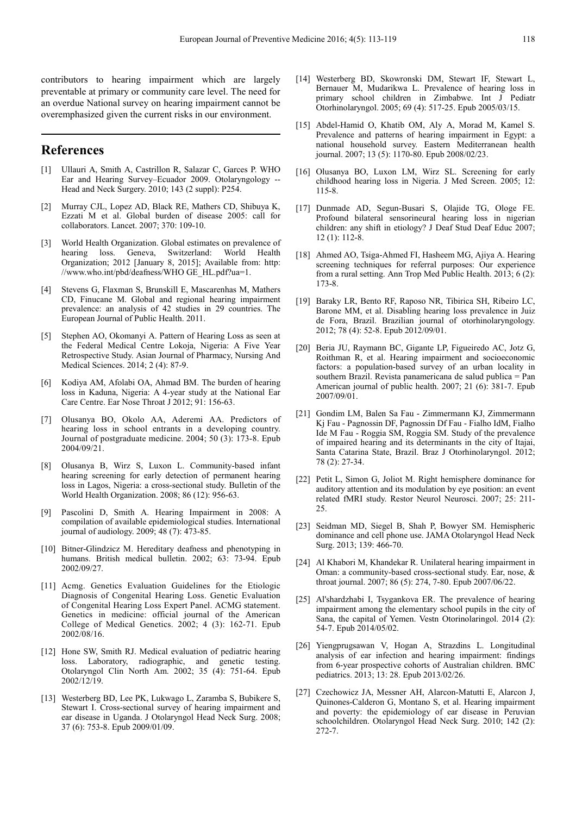contributors to hearing impairment which are largely preventable at primary or community care level. The need for an overdue National survey on hearing impairment cannot be overemphasized given the current risks in our environment.

## **References**

- [1] Ullauri A, Smith A, Castrillon R, Salazar C, Garces P. WHO Ear and Hearing Survey–Ecuador 2009. Otolaryngology -- Head and Neck Surgery. 2010; 143 (2 suppl): P254.
- [2] Murray CJL, Lopez AD, Black RE, Mathers CD, Shibuya K, Ezzati M et al. Global burden of disease 2005: call for collaborators. Lancet. 2007; 370: 109-10.
- [3] World Health Organization. Global estimates on prevalence of hearing loss. Geneva, Switzerland: World Health Organization; 2012 [January 8, 2015]; Available from: http: //www.who.int/pbd/deafness/WHO GE\_HL.pdf?ua=1.
- [4] Stevens G, Flaxman S, Brunskill E, Mascarenhas M, Mathers CD, Finucane M. Global and regional hearing impairment prevalence: an analysis of 42 studies in 29 countries. The European Journal of Public Health. 2011.
- [5] Stephen AO, Okomanyi A. Pattern of Hearing Loss as seen at the Federal Medical Centre Lokoja, Nigeria: A Five Year Retrospective Study. Asian Journal of Pharmacy, Nursing And Medical Sciences. 2014; 2 (4): 87-9.
- [6] Kodiya AM, Afolabi OA, Ahmad BM. The burden of hearing loss in Kaduna, Nigeria: A 4-year study at the National Ear Care Centre. Ear Nose Throat J 2012; 91: 156-63.
- [7] Olusanya BO, Okolo AA, Aderemi AA. Predictors of hearing loss in school entrants in a developing country. Journal of postgraduate medicine. 2004; 50 (3): 173-8. Epub 2004/09/21.
- [8] Olusanya B, Wirz S, Luxon L. Community-based infant hearing screening for early detection of permanent hearing loss in Lagos, Nigeria: a cross-sectional study. Bulletin of the World Health Organization. 2008; 86 (12): 956-63.
- [9] Pascolini D, Smith A. Hearing Impairment in 2008: A compilation of available epidemiological studies. International journal of audiology. 2009; 48 (7): 473-85.
- [10] Bitner-Glindzicz M. Hereditary deafness and phenotyping in humans. British medical bulletin. 2002; 63: 73-94. Epub 2002/09/27.
- [11] Acmg. Genetics Evaluation Guidelines for the Etiologic Diagnosis of Congenital Hearing Loss. Genetic Evaluation of Congenital Hearing Loss Expert Panel. ACMG statement. Genetics in medicine: official journal of the American College of Medical Genetics. 2002; 4 (3): 162-71. Epub 2002/08/16.
- [12] Hone SW, Smith RJ. Medical evaluation of pediatric hearing loss. Laboratory, radiographic, and genetic testing. Otolaryngol Clin North Am. 2002; 35 (4): 751-64. Epub 2002/12/19.
- [13] Westerberg BD, Lee PK, Lukwago L, Zaramba S, Bubikere S, Stewart I. Cross-sectional survey of hearing impairment and ear disease in Uganda. J Otolaryngol Head Neck Surg. 2008; 37 (6): 753-8. Epub 2009/01/09.
- [14] Westerberg BD, Skowronski DM, Stewart IF, Stewart L, Bernauer M, Mudarikwa L. Prevalence of hearing loss in primary school children in Zimbabwe. Int J Pediatr Otorhinolaryngol. 2005; 69 (4): 517-25. Epub 2005/03/15.
- [15] Abdel-Hamid O, Khatib OM, Alv A, Morad M, Kamel S, Prevalence and patterns of hearing impairment in Egypt: a national household survey. Eastern Mediterranean health journal. 2007; 13 (5): 1170-80. Epub 2008/02/23.
- [16] Olusanya BO, Luxon LM, Wirz SL. Screening for early childhood hearing loss in Nigeria. J Med Screen. 2005; 12: 115-8.
- [17] Dunmade AD, Segun-Busari S, Olajide TG, Ologe FE. Profound bilateral sensorineural hearing loss in nigerian children: any shift in etiology? J Deaf Stud Deaf Educ 2007; 12 (1): 112-8.
- [18] Ahmed AO, Tsiga-Ahmed FI, Hasheem MG, Ajiya A. Hearing screening techniques for referral purposes: Our experience from a rural setting. Ann Trop Med Public Health. 2013; 6 (2): 173-8.
- [19] Baraky LR, Bento RF, Raposo NR, Tibirica SH, Ribeiro LC, Barone MM, et al. Disabling hearing loss prevalence in Juiz de Fora, Brazil. Brazilian journal of otorhinolaryngology. 2012; 78 (4): 52-8. Epub 2012/09/01.
- [20] Beria JU, Raymann BC, Gigante LP, Figueiredo AC, Jotz G, Roithman R, et al. Hearing impairment and socioeconomic factors: a population-based survey of an urban locality in southern Brazil. Revista panamericana de salud publica = Pan American journal of public health. 2007; 21 (6): 381-7. Epub 2007/09/01.
- [21] Gondim LM, Balen Sa Fau Zimmermann KJ, Zimmermann Kj Fau - Pagnossin DF, Pagnossin Df Fau - Fialho IdM, Fialho Ide M Fau - Roggia SM, Roggia SM. Study of the prevalence of impaired hearing and its determinants in the city of Itajai, Santa Catarina State, Brazil. Braz J Otorhinolaryngol. 2012; 78 (2): 27-34.
- [22] Petit L, Simon G, Joliot M. Right hemisphere dominance for auditory attention and its modulation by eye position: an event related fMRI study. Restor Neurol Neurosci. 2007; 25: 211- 25.
- [23] Seidman MD, Siegel B, Shah P, Bowyer SM. Hemispheric dominance and cell phone use. JAMA Otolaryngol Head Neck Surg. 2013; 139: 466-70.
- [24] Al Khabori M, Khandekar R. Unilateral hearing impairment in Oman: a community-based cross-sectional study. Ear, nose, & throat journal. 2007; 86 (5): 274, 7-80. Epub 2007/06/22.
- [25] Al'shardzhabi I, Tsygankova ER. The prevalence of hearing impairment among the elementary school pupils in the city of Sana, the capital of Yemen. Vestn Otorinolaringol. 2014 (2): 54-7. Epub 2014/05/02.
- [26] Yiengprugsawan V, Hogan A, Strazdins L. Longitudinal analysis of ear infection and hearing impairment: findings from 6-year prospective cohorts of Australian children. BMC pediatrics. 2013; 13: 28. Epub 2013/02/26.
- [27] Czechowicz JA, Messner AH, Alarcon-Matutti E, Alarcon J, Quinones-Calderon G, Montano S, et al. Hearing impairment and poverty: the epidemiology of ear disease in Peruvian schoolchildren. Otolaryngol Head Neck Surg. 2010; 142 (2): 272-7.